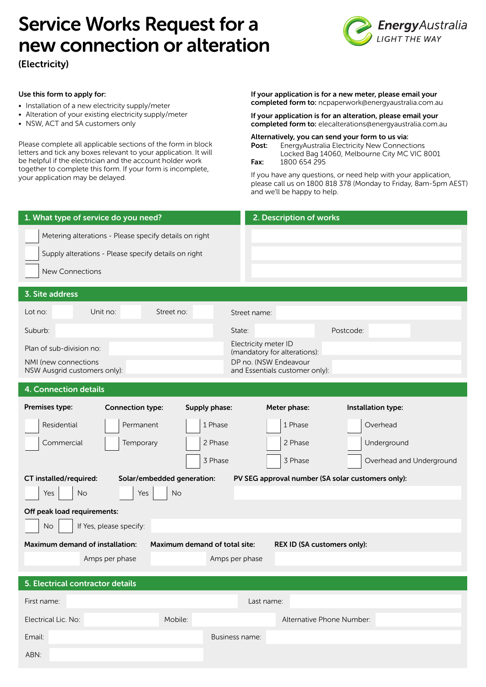# Service Works Request for a new connection or alteration

(Electricity)



# Use this form to apply for:

- Installation of a new electricity supply/meter
- Alteration of your existing electricity supply/meter
- NSW, ACT and SA customers only

Please complete all applicable sections of the form in block letters and tick any boxes relevant to your application . It will be helpful if the electrician and the account holder work together to complete this form. If your form is incomplete, your application may be delayed.

If your application is for a new meter, please email your completed form to: ncpaperwork@energyaustralia.com.au

If your application is for an alteration, please email your completed form to: elecalterations@energyaustralia.com.au

Alternatively, you can send your form to us via: ر<br>AvAustralia Electricity New C

| rost. | <b>ETIBIQVAUSTRIIRE ETECTICITY NEW CONNECTIONS</b> |  |  |
|-------|----------------------------------------------------|--|--|
|       | Locked Bag 14060, Melbourne City MC VIC 8001       |  |  |
| Fax:  | 1800 654 295                                       |  |  |
|       |                                                    |  |  |

If you have any questions, or need help with your application, please call us on 1800 818 378 (Monday to Friday, 8am-5pm AEST) and we'll be happy to help.

| 1. What type of service do you need?                                                                                                     | 2. Description of works                                 |  |  |  |
|------------------------------------------------------------------------------------------------------------------------------------------|---------------------------------------------------------|--|--|--|
| Metering alterations - Please specify details on right<br>Supply alterations - Please specify details on right<br><b>New Connections</b> |                                                         |  |  |  |
| 3. Site address                                                                                                                          |                                                         |  |  |  |
| Unit no:<br>Street no:<br>Lot no:                                                                                                        | Street name:                                            |  |  |  |
| Suburb:                                                                                                                                  | State:<br>Postcode:                                     |  |  |  |
| Plan of sub-division no:                                                                                                                 | Electricity meter ID<br>(mandatory for alterations):    |  |  |  |
| NMI (new connections<br>NSW Ausgrid customers only):                                                                                     | DP no. (NSW Endeavour<br>and Essentials customer only): |  |  |  |
| 4. Connection details                                                                                                                    |                                                         |  |  |  |
| Premises type:<br><b>Connection type:</b><br>Supply phase:                                                                               | Meter phase:<br>Installation type:                      |  |  |  |
| Residential<br>Permanent<br>1 Phase                                                                                                      | 1 Phase<br>Overhead                                     |  |  |  |
| Commercial<br>2 Phase<br>Temporary                                                                                                       | 2 Phase<br>Underground                                  |  |  |  |
| 3 Phase                                                                                                                                  | 3 Phase<br>Overhead and Underground                     |  |  |  |
| CT installed/required:<br>Solar/embedded generation:                                                                                     | PV SEG approval number (SA solar customers only):       |  |  |  |
| Yes<br><b>No</b><br>Yes<br>No.                                                                                                           |                                                         |  |  |  |
| Off peak load requirements:                                                                                                              |                                                         |  |  |  |
| <b>No</b><br>If Yes, please specify:                                                                                                     |                                                         |  |  |  |
| Maximum demand of total site:<br><b>Maximum demand of installation:</b><br>REX ID (SA customers only):                                   |                                                         |  |  |  |
| Amps per phase                                                                                                                           | Amps per phase                                          |  |  |  |
| 5. Electrical contractor details                                                                                                         |                                                         |  |  |  |
| First name:<br>Last name:                                                                                                                |                                                         |  |  |  |
| Mobile:<br>Electrical Lic. No:                                                                                                           | Alternative Phone Number:                               |  |  |  |
| Email:                                                                                                                                   | Business name:                                          |  |  |  |
| ABN:                                                                                                                                     |                                                         |  |  |  |